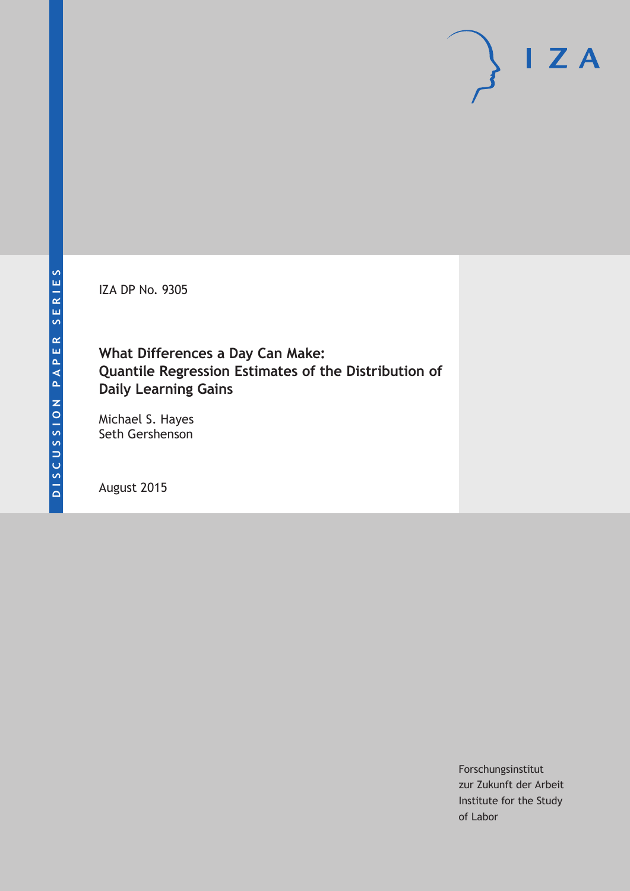IZA DP No. 9305

## **What Differences a Day Can Make: Quantile Regression Estimates of the Distribution of Daily Learning Gains**

Michael S. Hayes Seth Gershenson

August 2015

Forschungsinstitut zur Zukunft der Arbeit Institute for the Study of Labor

 $I Z A$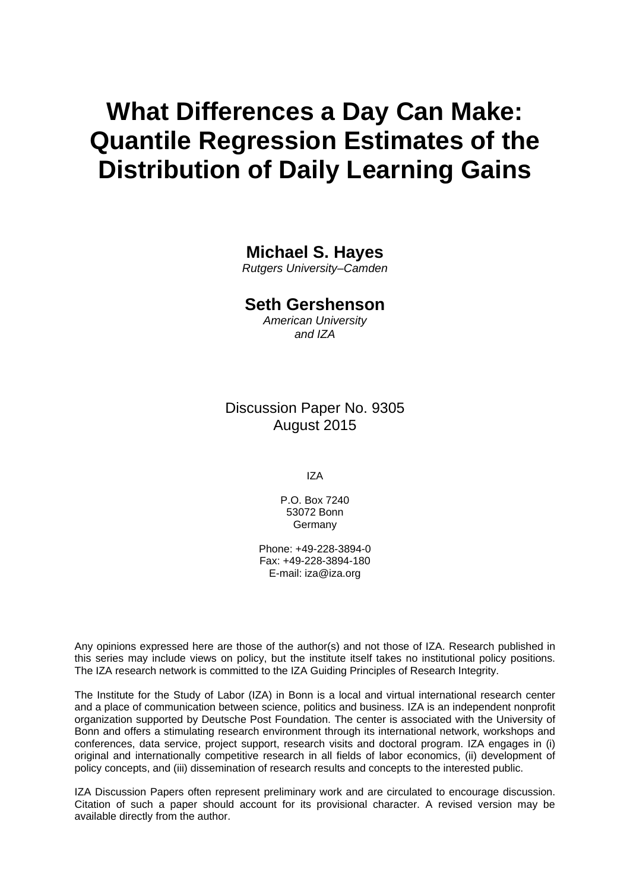# **What Differences a Day Can Make: Quantile Regression Estimates of the Distribution of Daily Learning Gains**

## **Michael S. Hayes**

*Rutgers University–Camden* 

## **Seth Gershenson**

*American University and IZA* 

Discussion Paper No. 9305 August 2015

IZA

P.O. Box 7240 53072 Bonn Germany

Phone: +49-228-3894-0 Fax: +49-228-3894-180 E-mail: iza@iza.org

Any opinions expressed here are those of the author(s) and not those of IZA. Research published in this series may include views on policy, but the institute itself takes no institutional policy positions. The IZA research network is committed to the IZA Guiding Principles of Research Integrity.

The Institute for the Study of Labor (IZA) in Bonn is a local and virtual international research center and a place of communication between science, politics and business. IZA is an independent nonprofit organization supported by Deutsche Post Foundation. The center is associated with the University of Bonn and offers a stimulating research environment through its international network, workshops and conferences, data service, project support, research visits and doctoral program. IZA engages in (i) original and internationally competitive research in all fields of labor economics, (ii) development of policy concepts, and (iii) dissemination of research results and concepts to the interested public.

IZA Discussion Papers often represent preliminary work and are circulated to encourage discussion. Citation of such a paper should account for its provisional character. A revised version may be available directly from the author.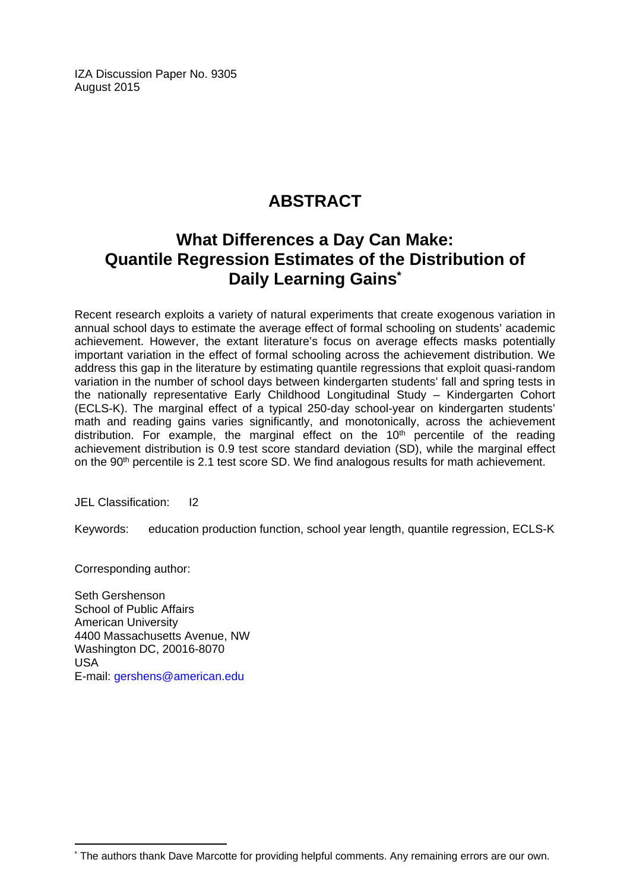IZA Discussion Paper No. 9305 August 2015

# **ABSTRACT**

# **What Differences a Day Can Make: Quantile Regression Estimates of the Distribution of Daily Learning Gains\***

Recent research exploits a variety of natural experiments that create exogenous variation in annual school days to estimate the average effect of formal schooling on students' academic achievement. However, the extant literature's focus on average effects masks potentially important variation in the effect of formal schooling across the achievement distribution. We address this gap in the literature by estimating quantile regressions that exploit quasi-random variation in the number of school days between kindergarten students' fall and spring tests in the nationally representative Early Childhood Longitudinal Study – Kindergarten Cohort (ECLS-K). The marginal effect of a typical 250-day school-year on kindergarten students' math and reading gains varies significantly, and monotonically, across the achievement distribution. For example, the marginal effect on the  $10<sup>th</sup>$  percentile of the reading achievement distribution is 0.9 test score standard deviation (SD), while the marginal effect on the 90<sup>th</sup> percentile is 2.1 test score SD. We find analogous results for math achievement.

JEL Classification: I2

Keywords: education production function, school year length, quantile regression, ECLS-K

Corresponding author:

 $\overline{a}$ 

Seth Gershenson School of Public Affairs American University 4400 Massachusetts Avenue, NW Washington DC, 20016-8070 USA E-mail: gershens@american.edu

<sup>\*</sup> The authors thank Dave Marcotte for providing helpful comments. Any remaining errors are our own.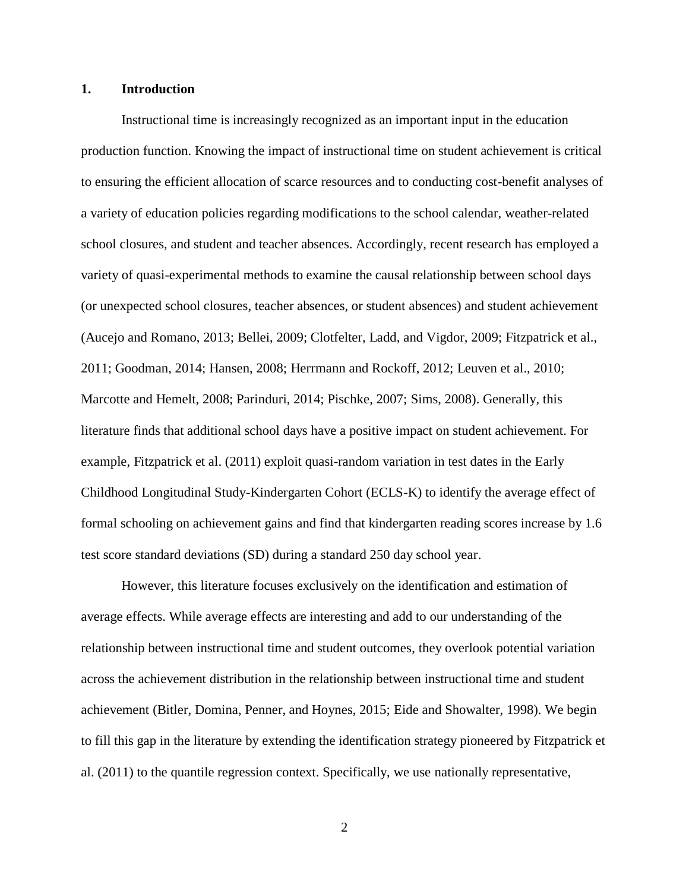#### **1. Introduction**

Instructional time is increasingly recognized as an important input in the education production function. Knowing the impact of instructional time on student achievement is critical to ensuring the efficient allocation of scarce resources and to conducting cost-benefit analyses of a variety of education policies regarding modifications to the school calendar, weather-related school closures, and student and teacher absences. Accordingly, recent research has employed a variety of quasi-experimental methods to examine the causal relationship between school days (or unexpected school closures, teacher absences, or student absences) and student achievement (Aucejo and Romano, 2013; Bellei, 2009; Clotfelter, Ladd, and Vigdor, 2009; Fitzpatrick et al., 2011; Goodman, 2014; Hansen, 2008; Herrmann and Rockoff, 2012; Leuven et al., 2010; Marcotte and Hemelt, 2008; Parinduri, 2014; Pischke, 2007; Sims, 2008). Generally, this literature finds that additional school days have a positive impact on student achievement. For example, Fitzpatrick et al. (2011) exploit quasi-random variation in test dates in the Early Childhood Longitudinal Study-Kindergarten Cohort (ECLS-K) to identify the average effect of formal schooling on achievement gains and find that kindergarten reading scores increase by 1.6 test score standard deviations (SD) during a standard 250 day school year.

However, this literature focuses exclusively on the identification and estimation of average effects. While average effects are interesting and add to our understanding of the relationship between instructional time and student outcomes, they overlook potential variation across the achievement distribution in the relationship between instructional time and student achievement (Bitler, Domina, Penner, and Hoynes, 2015; Eide and Showalter, 1998). We begin to fill this gap in the literature by extending the identification strategy pioneered by Fitzpatrick et al. (2011) to the quantile regression context. Specifically, we use nationally representative,

2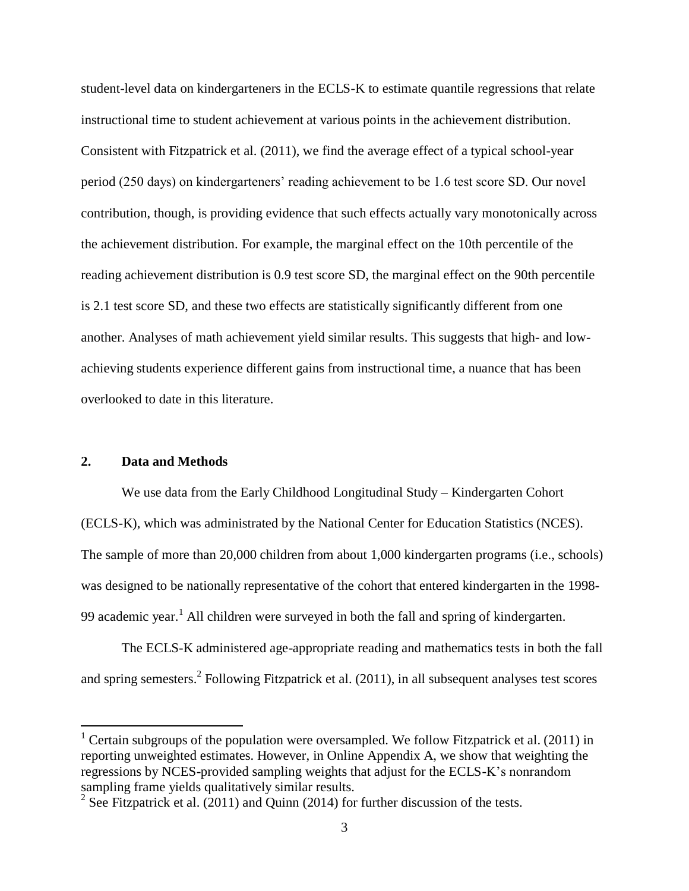student-level data on kindergarteners in the ECLS-K to estimate quantile regressions that relate instructional time to student achievement at various points in the achievement distribution. Consistent with Fitzpatrick et al. (2011), we find the average effect of a typical school-year period (250 days) on kindergarteners' reading achievement to be 1.6 test score SD. Our novel contribution, though, is providing evidence that such effects actually vary monotonically across the achievement distribution. For example, the marginal effect on the 10th percentile of the reading achievement distribution is 0.9 test score SD, the marginal effect on the 90th percentile is 2.1 test score SD, and these two effects are statistically significantly different from one another. Analyses of math achievement yield similar results. This suggests that high- and lowachieving students experience different gains from instructional time, a nuance that has been overlooked to date in this literature.

#### **2. Data and Methods**

 $\overline{a}$ 

We use data from the Early Childhood Longitudinal Study – Kindergarten Cohort (ECLS-K), which was administrated by the National Center for Education Statistics (NCES). The sample of more than 20,000 children from about 1,000 kindergarten programs (i.e., schools) was designed to be nationally representative of the cohort that entered kindergarten in the 1998- 99 academic year.<sup>1</sup> All children were surveyed in both the fall and spring of kindergarten.

The ECLS-K administered age-appropriate reading and mathematics tests in both the fall and spring semesters.<sup>2</sup> Following Fitzpatrick et al.  $(2011)$ , in all subsequent analyses test scores

<sup>&</sup>lt;sup>1</sup> Certain subgroups of the population were oversampled. We follow Fitzpatrick et al. (2011) in reporting unweighted estimates. However, in Online Appendix A, we show that weighting the regressions by NCES-provided sampling weights that adjust for the ECLS-K's nonrandom sampling frame yields qualitatively similar results.

<sup>&</sup>lt;sup>2</sup> See Fitzpatrick et al.  $(2011)$  and Quinn (2014) for further discussion of the tests.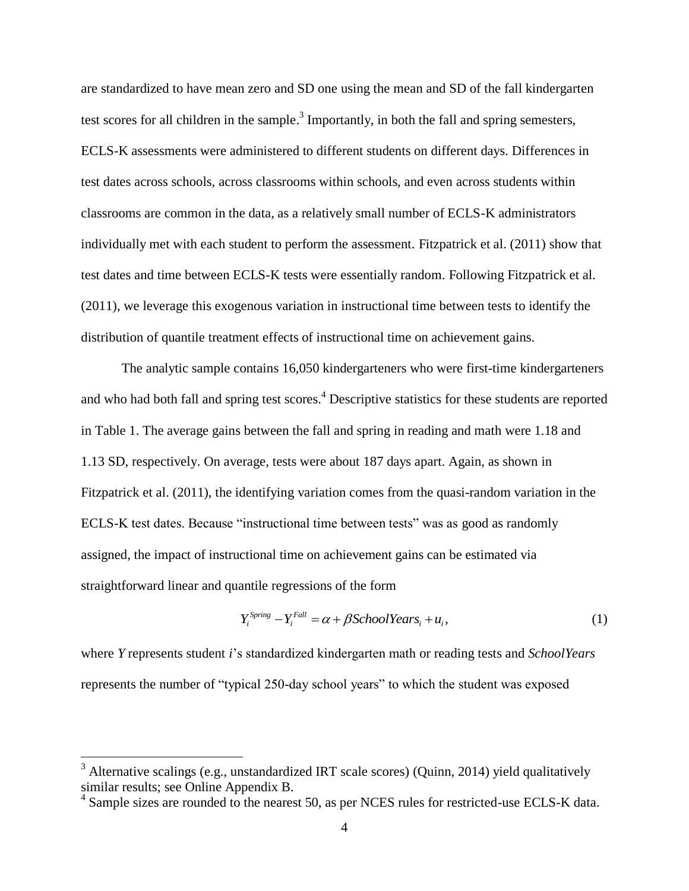are standardized to have mean zero and SD one using the mean and SD of the fall kindergarten test scores for all children in the sample.<sup>3</sup> Importantly, in both the fall and spring semesters, ECLS-K assessments were administered to different students on different days. Differences in test dates across schools, across classrooms within schools, and even across students within classrooms are common in the data, as a relatively small number of ECLS-K administrators individually met with each student to perform the assessment. Fitzpatrick et al. (2011) show that test dates and time between ECLS-K tests were essentially random. Following Fitzpatrick et al. (2011), we leverage this exogenous variation in instructional time between tests to identify the distribution of quantile treatment effects of instructional time on achievement gains.

The analytic sample contains 16,050 kindergarteners who were first-time kindergarteners and who had both fall and spring test scores. <sup>4</sup> Descriptive statistics for these students are reported in Table 1. The average gains between the fall and spring in reading and math were 1.18 and 1.13 SD, respectively. On average, tests were about 187 days apart. Again, as shown in Fitzpatrick et al. (2011), the identifying variation comes from the quasi-random variation in the ECLS-K test dates. Because "instructional time between tests" was as good as randomly assigned, the impact of instructional time on achievement gains can be estimated via straightforward linear and quantile regressions of the form

$$
Y_i^{Spring} - Y_i^{Fall} = \alpha + \beta School Years_i + u_i,
$$
\n(1)

where *Y* represents student *i*'s standardized kindergarten math or reading tests and *SchoolYears* represents the number of "typical 250-day school years" to which the student was exposed

 $\overline{a}$ 

 $3$  Alternative scalings (e.g., unstandardized IRT scale scores) (Quinn, 2014) yield qualitatively similar results; see Online Appendix B.

<sup>&</sup>lt;sup>4</sup> Sample sizes are rounded to the nearest 50, as per NCES rules for restricted-use ECLS-K data.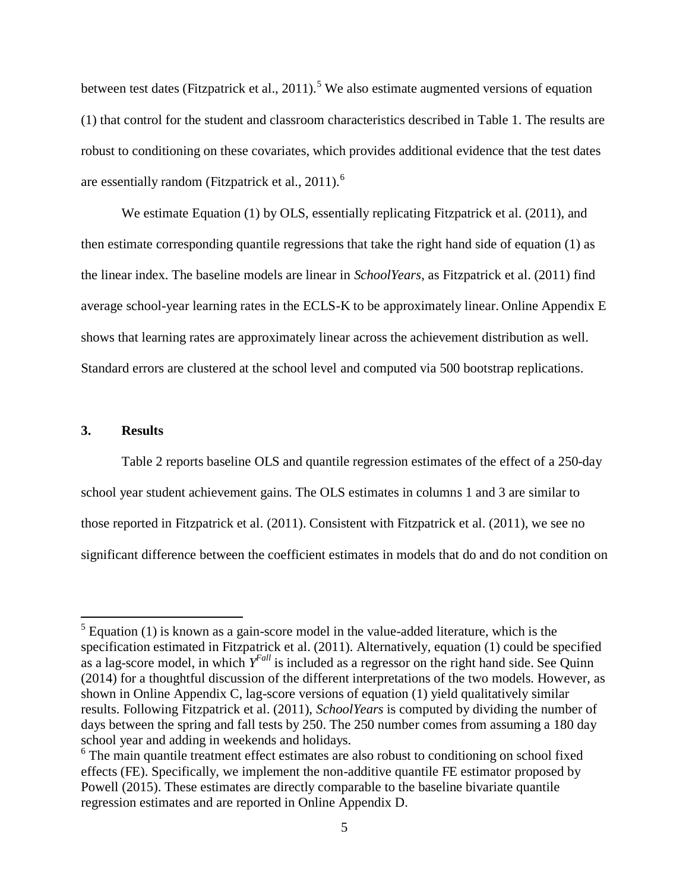between test dates (Fitzpatrick et al., 2011).<sup>5</sup> We also estimate augmented versions of equation (1) that control for the student and classroom characteristics described in Table 1. The results are robust to conditioning on these covariates, which provides additional evidence that the test dates are essentially random (Fitzpatrick et al.,  $2011$ ).<sup>6</sup>

We estimate Equation (1) by OLS, essentially replicating Fitzpatrick et al. (2011), and then estimate corresponding quantile regressions that take the right hand side of equation (1) as the linear index. The baseline models are linear in *SchoolYears*, as Fitzpatrick et al. (2011) find average school-year learning rates in the ECLS-K to be approximately linear. Online Appendix E shows that learning rates are approximately linear across the achievement distribution as well. Standard errors are clustered at the school level and computed via 500 bootstrap replications.

#### **3. Results**

 $\overline{a}$ 

Table 2 reports baseline OLS and quantile regression estimates of the effect of a 250-day school year student achievement gains. The OLS estimates in columns 1 and 3 are similar to those reported in Fitzpatrick et al. (2011). Consistent with Fitzpatrick et al. (2011), we see no significant difference between the coefficient estimates in models that do and do not condition on

 $<sup>5</sup>$  Equation (1) is known as a gain-score model in the value-added literature, which is the</sup> specification estimated in Fitzpatrick et al. (2011). Alternatively, equation (1) could be specified as a lag-score model, in which *Y Fall* is included as a regressor on the right hand side. See Quinn (2014) for a thoughtful discussion of the different interpretations of the two models. However, as shown in Online Appendix C, lag-score versions of equation (1) yield qualitatively similar results. Following Fitzpatrick et al. (2011), *SchoolYears* is computed by dividing the number of days between the spring and fall tests by 250. The 250 number comes from assuming a 180 day school year and adding in weekends and holidays.

<sup>&</sup>lt;sup>6</sup> The main quantile treatment effect estimates are also robust to conditioning on school fixed effects (FE). Specifically, we implement the non-additive quantile FE estimator proposed by Powell (2015). These estimates are directly comparable to the baseline bivariate quantile regression estimates and are reported in Online Appendix D.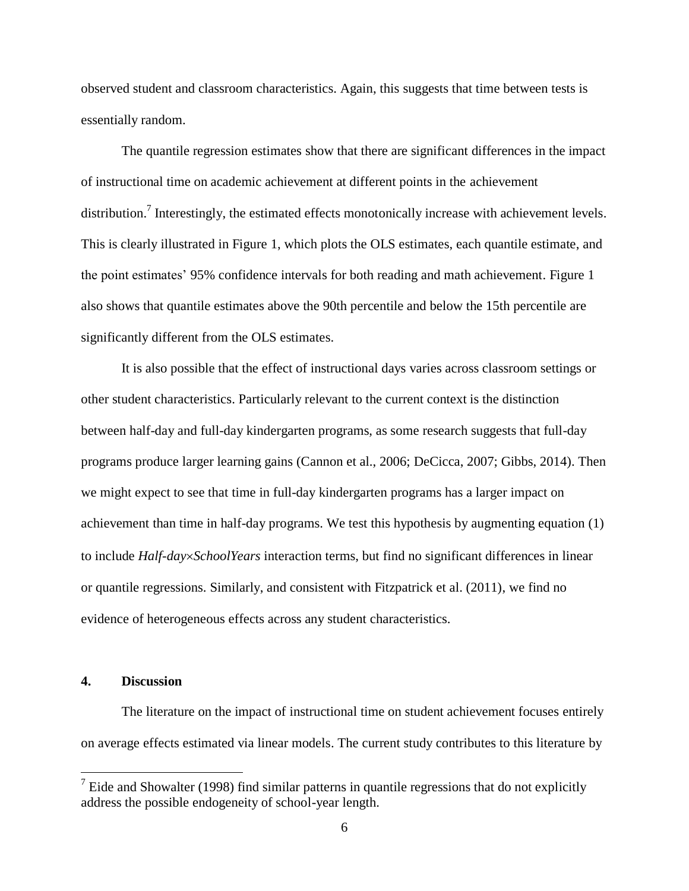observed student and classroom characteristics. Again, this suggests that time between tests is essentially random.

The quantile regression estimates show that there are significant differences in the impact of instructional time on academic achievement at different points in the achievement distribution.<sup>7</sup> Interestingly, the estimated effects monotonically increase with achievement levels. This is clearly illustrated in Figure 1, which plots the OLS estimates, each quantile estimate, and the point estimates' 95% confidence intervals for both reading and math achievement. Figure 1 also shows that quantile estimates above the 90th percentile and below the 15th percentile are significantly different from the OLS estimates.

It is also possible that the effect of instructional days varies across classroom settings or other student characteristics. Particularly relevant to the current context is the distinction between half-day and full-day kindergarten programs, as some research suggests that full-day programs produce larger learning gains (Cannon et al., 2006; DeCicca, 2007; Gibbs, 2014). Then we might expect to see that time in full-day kindergarten programs has a larger impact on achievement than time in half-day programs. We test this hypothesis by augmenting equation (1) to include *Half-daySchoolYears* interaction terms, but find no significant differences in linear or quantile regressions. Similarly, and consistent with Fitzpatrick et al. (2011), we find no evidence of heterogeneous effects across any student characteristics.

#### **4. Discussion**

 $\overline{a}$ 

The literature on the impact of instructional time on student achievement focuses entirely on average effects estimated via linear models. The current study contributes to this literature by

 $<sup>7</sup>$  Eide and Showalter (1998) find similar patterns in quantile regressions that do not explicitly</sup> address the possible endogeneity of school-year length.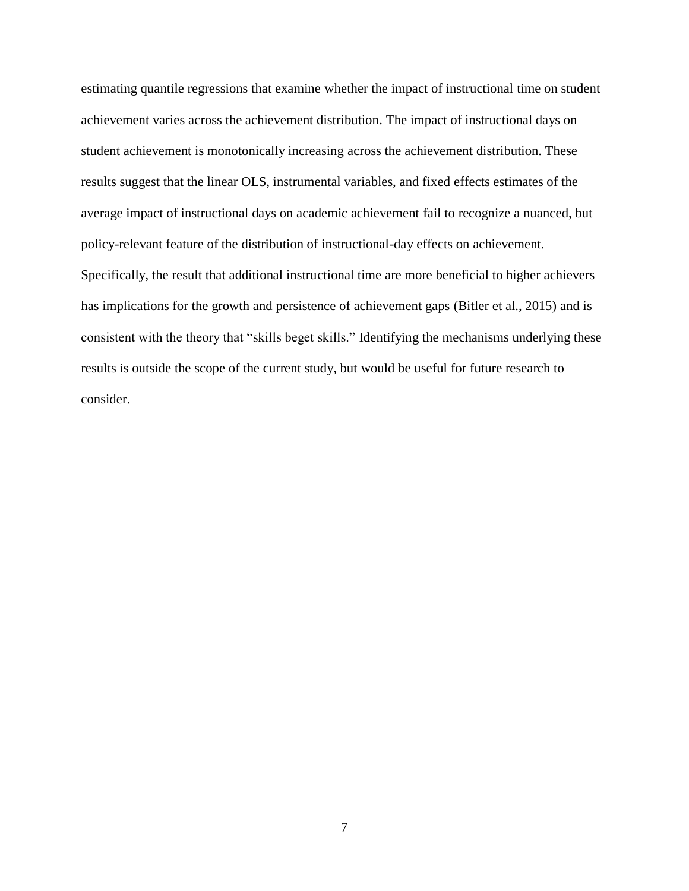estimating quantile regressions that examine whether the impact of instructional time on student achievement varies across the achievement distribution. The impact of instructional days on student achievement is monotonically increasing across the achievement distribution. These results suggest that the linear OLS, instrumental variables, and fixed effects estimates of the average impact of instructional days on academic achievement fail to recognize a nuanced, but policy-relevant feature of the distribution of instructional-day effects on achievement. Specifically, the result that additional instructional time are more beneficial to higher achievers has implications for the growth and persistence of achievement gaps (Bitler et al., 2015) and is consistent with the theory that "skills beget skills." Identifying the mechanisms underlying these results is outside the scope of the current study, but would be useful for future research to consider.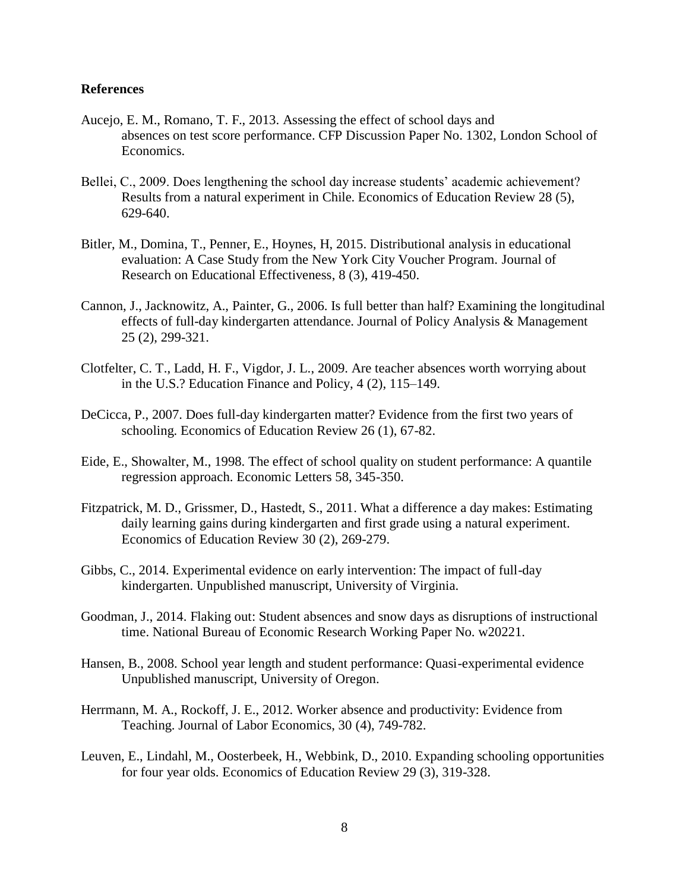#### **References**

- Aucejo, E. M., Romano, T. F., 2013. Assessing the effect of school days and absences on test score performance. CFP Discussion Paper No. 1302, London School of Economics.
- Bellei, C., 2009. Does lengthening the school day increase students' academic achievement? Results from a natural experiment in Chile. Economics of Education Review 28 (5), 629-640.
- Bitler, M., Domina, T., Penner, E., Hoynes, H, 2015. Distributional analysis in educational evaluation: A Case Study from the New York City Voucher Program. Journal of Research on Educational Effectiveness, 8 (3), 419-450.
- Cannon, J., Jacknowitz, A., Painter, G., 2006. Is full better than half? Examining the longitudinal effects of full-day kindergarten attendance. Journal of Policy Analysis & Management 25 (2), 299-321.
- Clotfelter, C. T., Ladd, H. F., Vigdor, J. L., 2009. Are teacher absences worth worrying about in the U.S.? Education Finance and Policy, 4 (2), 115–149.
- DeCicca, P., 2007. Does full-day kindergarten matter? Evidence from the first two years of schooling. Economics of Education Review 26 (1), 67-82.
- Eide, E., Showalter, M., 1998. The effect of school quality on student performance: A quantile regression approach. Economic Letters 58, 345-350.
- Fitzpatrick, M. D., Grissmer, D., Hastedt, S., 2011. What a difference a day makes: Estimating daily learning gains during kindergarten and first grade using a natural experiment. Economics of Education Review 30 (2), 269-279.
- Gibbs, C., 2014. Experimental evidence on early intervention: The impact of full-day kindergarten. Unpublished manuscript, University of Virginia.
- Goodman, J., 2014. Flaking out: Student absences and snow days as disruptions of instructional time. National Bureau of Economic Research Working Paper No. w20221.
- Hansen, B., 2008. School year length and student performance: Quasi-experimental evidence Unpublished manuscript, University of Oregon.
- Herrmann, M. A., Rockoff, J. E., 2012. Worker absence and productivity: Evidence from Teaching. Journal of Labor Economics, 30 (4), 749-782.
- Leuven, E., Lindahl, M., Oosterbeek, H., Webbink, D., 2010. Expanding schooling opportunities for four year olds. Economics of Education Review 29 (3), 319-328.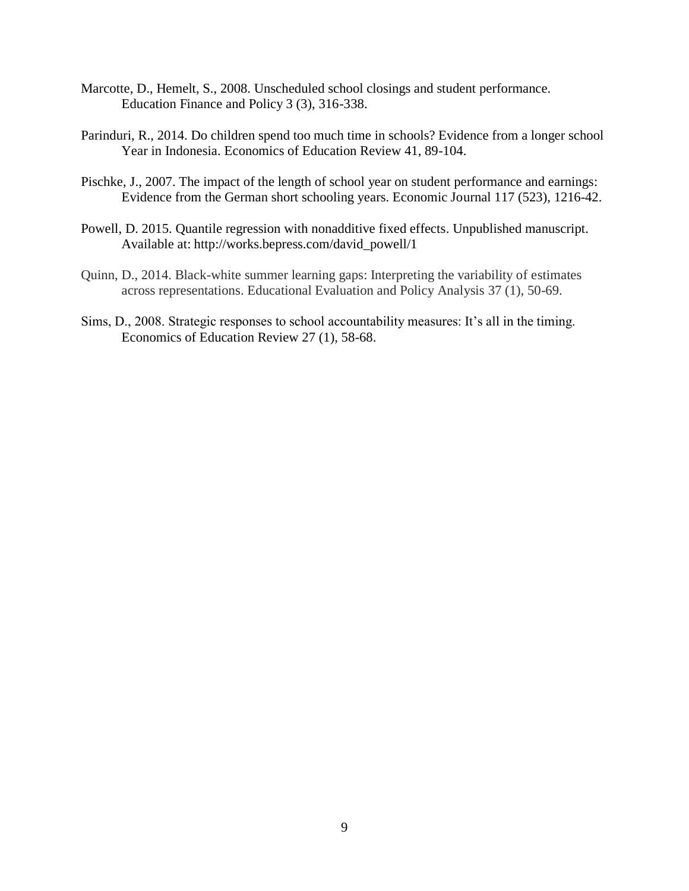- Marcotte, D., Hemelt, S., 2008. Unscheduled school closings and student performance. Education Finance and Policy 3 (3), 316-338.
- Parinduri, R., 2014. Do children spend too much time in schools? Evidence from a longer school Year in Indonesia. Economics of Education Review 41, 89-104.
- Pischke, J., 2007. The impact of the length of school year on student performance and earnings: Evidence from the German short schooling years. Economic Journal 117 (523), 1216-42.
- Powell, D. 2015. Quantile regression with nonadditive fixed effects. Unpublished manuscript. Available at: http://works.bepress.com/david\_powell/1
- Quinn, D., 2014. Black-white summer learning gaps: Interpreting the variability of estimates across representations. Educational Evaluation and Policy Analysis 37 (1), 50-69.
- Sims, D., 2008. Strategic responses to school accountability measures: It's all in the timing. Economics of Education Review 27 (1), 58-68.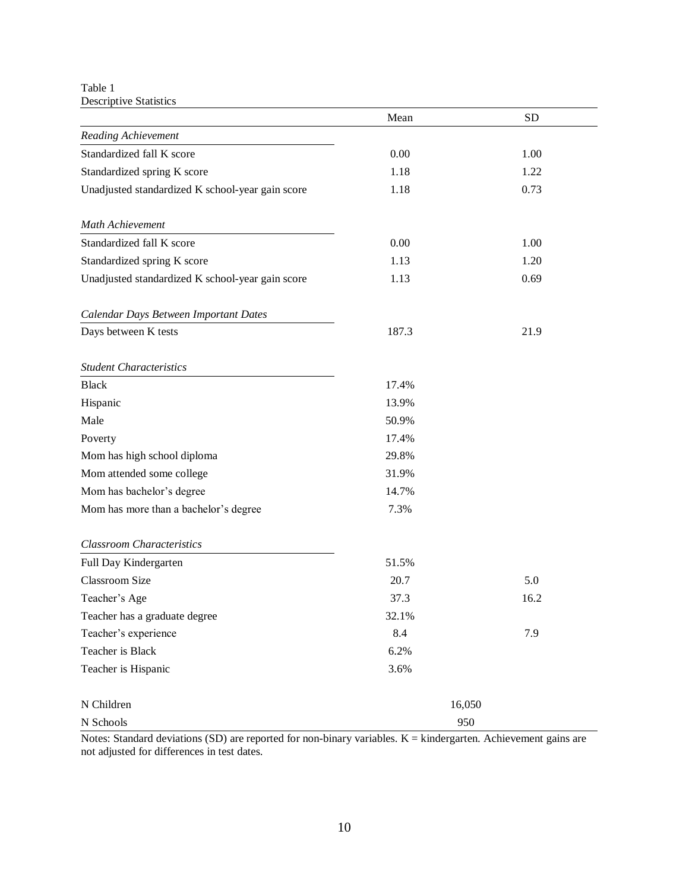Table 1 Descriptive Statistics

|                                                  | Mean   | <b>SD</b> |
|--------------------------------------------------|--------|-----------|
| Reading Achievement                              |        |           |
| Standardized fall K score                        | 0.00   | 1.00      |
| Standardized spring K score                      | 1.18   | 1.22      |
| Unadjusted standardized K school-year gain score | 1.18   | 0.73      |
| Math Achievement                                 |        |           |
| Standardized fall K score                        | 0.00   | 1.00      |
| Standardized spring K score                      | 1.13   | 1.20      |
| Unadjusted standardized K school-year gain score | 1.13   | 0.69      |
| Calendar Days Between Important Dates            |        |           |
| Days between K tests                             | 187.3  | 21.9      |
| <b>Student Characteristics</b>                   |        |           |
| <b>Black</b>                                     | 17.4%  |           |
| Hispanic                                         | 13.9%  |           |
| Male                                             | 50.9%  |           |
| Poverty                                          | 17.4%  |           |
| Mom has high school diploma                      | 29.8%  |           |
| Mom attended some college                        | 31.9%  |           |
| Mom has bachelor's degree                        | 14.7%  |           |
| Mom has more than a bachelor's degree            | 7.3%   |           |
| <b>Classroom Characteristics</b>                 |        |           |
| Full Day Kindergarten                            | 51.5%  |           |
| <b>Classroom Size</b>                            | 20.7   | 5.0       |
| Teacher's Age                                    | 37.3   | 16.2      |
| Teacher has a graduate degree                    | 32.1%  |           |
| Teacher's experience                             | 8.4    | 7.9       |
| Teacher is Black                                 | 6.2%   |           |
| Teacher is Hispanic                              | 3.6%   |           |
| N Children                                       | 16,050 |           |
| N Schools                                        | 950    |           |

Notes: Standard deviations (SD) are reported for non-binary variables. K = kindergarten. Achievement gains are not adjusted for differences in test dates.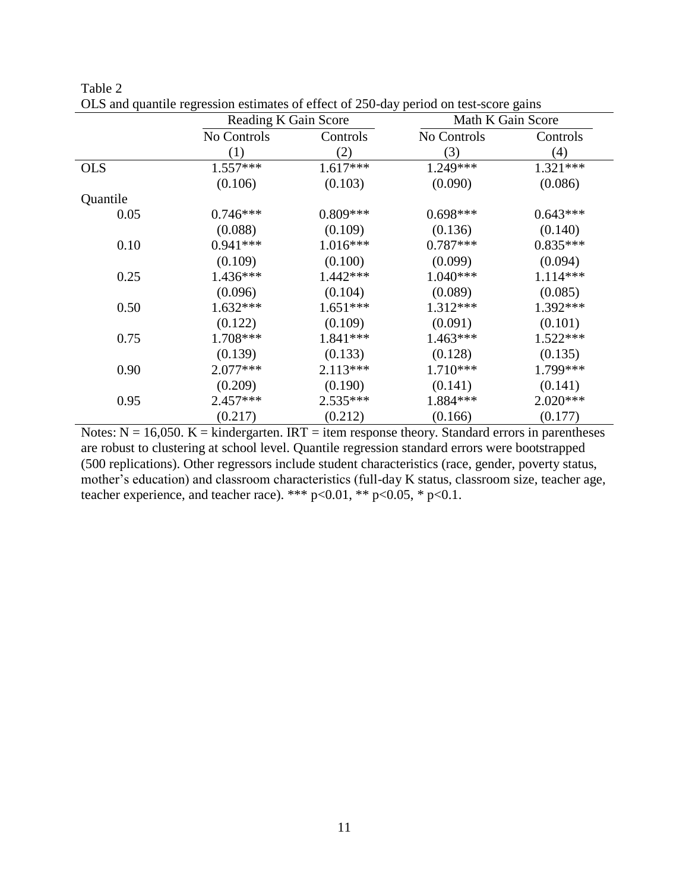|            | Reading K Gain Score |            | Math K Gain Score |            |  |
|------------|----------------------|------------|-------------------|------------|--|
|            | No Controls          | Controls   | No Controls       | Controls   |  |
|            | (1)                  | (2)        | (3)               | (4)        |  |
| <b>OLS</b> | $1.557***$           | $1.617***$ | $1.249***$        | $1.321***$ |  |
|            | (0.106)              | (0.103)    | (0.090)           | (0.086)    |  |
| Quantile   |                      |            |                   |            |  |
| 0.05       | $0.746***$           | $0.809***$ | $0.698***$        | $0.643***$ |  |
|            | (0.088)              | (0.109)    | (0.136)           | (0.140)    |  |
| 0.10       | $0.941***$           | $1.016***$ | $0.787***$        | $0.835***$ |  |
|            | (0.109)              | (0.100)    | (0.099)           | (0.094)    |  |
| 0.25       | $1.436***$           | $1.442***$ | $1.040***$        | $1.114***$ |  |
|            | (0.096)              | (0.104)    | (0.089)           | (0.085)    |  |
| 0.50       | $1.632***$           | $1.651***$ | $1.312***$        | 1.392***   |  |
|            | (0.122)              | (0.109)    | (0.091)           | (0.101)    |  |
| 0.75       | 1.708***             | 1.841 ***  | $1.463***$        | 1.522***   |  |
|            | (0.139)              | (0.133)    | (0.128)           | (0.135)    |  |
| 0.90       | $2.077***$           | $2.113***$ | $1.710***$        | 1.799***   |  |
|            | (0.209)              | (0.190)    | (0.141)           | (0.141)    |  |
| 0.95       | $2.457***$           | $2.535***$ | 1.884***          | $2.020***$ |  |
|            | (0.217)              | (0.212)    | (0.166)           | (0.177)    |  |

| Table 2                                                                               |  |
|---------------------------------------------------------------------------------------|--|
| OLS and quantile regression estimates of effect of 250-day period on test-score gains |  |

Notes:  $N = 16,050$ .  $K =$  kindergarten. IRT = item response theory. Standard errors in parentheses are robust to clustering at school level. Quantile regression standard errors were bootstrapped (500 replications). Other regressors include student characteristics (race, gender, poverty status, mother's education) and classroom characteristics (full-day K status, classroom size, teacher age, teacher experience, and teacher race). \*\*\* p<0.01, \*\* p<0.05, \* p<0.1.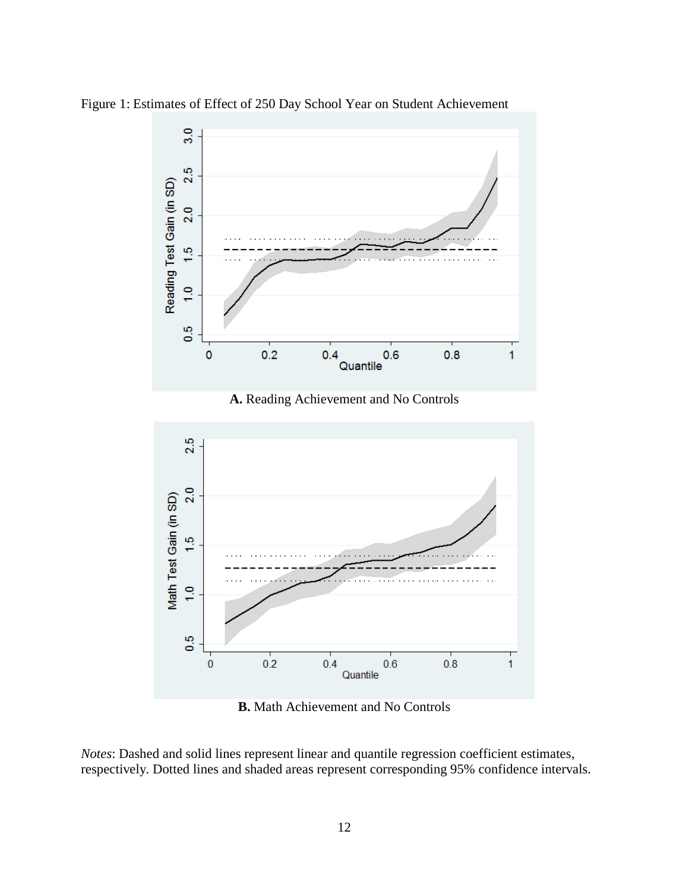

Figure 1: Estimates of Effect of 250 Day School Year on Student Achievement



**B.** Math Achievement and No Controls

*Notes*: Dashed and solid lines represent linear and quantile regression coefficient estimates, respectively. Dotted lines and shaded areas represent corresponding 95% confidence intervals.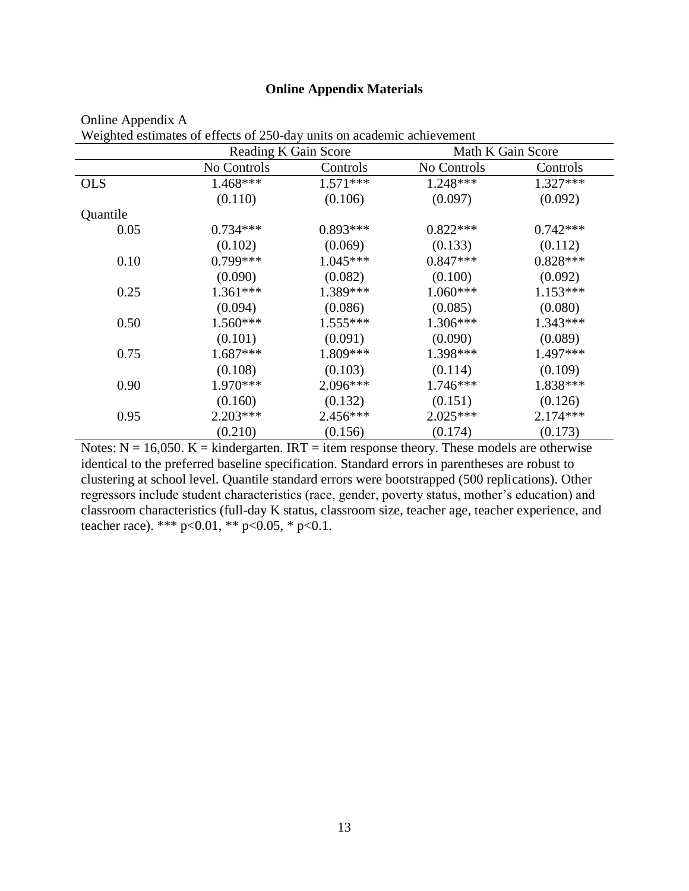## **Online Appendix Materials**

|            |             | Reading K Gain Score |             | Math K Gain Score |
|------------|-------------|----------------------|-------------|-------------------|
|            | No Controls | Controls             | No Controls | Controls          |
| <b>OLS</b> | 1.468***    | $1.571***$           | 1.248***    | 1.327***          |
|            | (0.110)     | (0.106)              | (0.097)     | (0.092)           |
| Quantile   |             |                      |             |                   |
| 0.05       | $0.734***$  | $0.893***$           | $0.822***$  | $0.742***$        |
|            | (0.102)     | (0.069)              | (0.133)     | (0.112)           |
| 0.10       | 0.799***    | $1.045***$           | $0.847***$  | $0.828***$        |
|            | (0.090)     | (0.082)              | (0.100)     | (0.092)           |
| 0.25       | $1.361***$  | 1.389***             | $1.060***$  | $1.153***$        |
|            | (0.094)     | (0.086)              | (0.085)     | (0.080)           |
| 0.50       | $1.560***$  | $1.555***$           | $1.306***$  | $1.343***$        |
|            | (0.101)     | (0.091)              | (0.090)     | (0.089)           |
| 0.75       | $1.687***$  | $1.809***$           | 1.398***    | 1.497***          |
|            | (0.108)     | (0.103)              | (0.114)     | (0.109)           |
| 0.90       | $1.970***$  | $2.096***$           | $1.746***$  | 1.838***          |
|            | (0.160)     | (0.132)              | (0.151)     | (0.126)           |
| 0.95       | $2.203***$  | $2.456***$           | $2.025***$  | $2.174***$        |
|            | (0.210)     | (0.156)              | (0.174)     | (0.173)           |

| Online Appendix A                                                      |                            |  |
|------------------------------------------------------------------------|----------------------------|--|
| Weighted estimates of effects of 250-day units on academic achievement |                            |  |
|                                                                        | $\cdots$ $\cdots$ $\cdots$ |  |

Notes:  $N = 16,050$ .  $K =$  kindergarten. IRT = item response theory. These models are otherwise identical to the preferred baseline specification. Standard errors in parentheses are robust to clustering at school level. Quantile standard errors were bootstrapped (500 replications). Other regressors include student characteristics (race, gender, poverty status, mother's education) and classroom characteristics (full-day K status, classroom size, teacher age, teacher experience, and teacher race). \*\*\* p<0.01, \*\* p<0.05, \* p<0.1.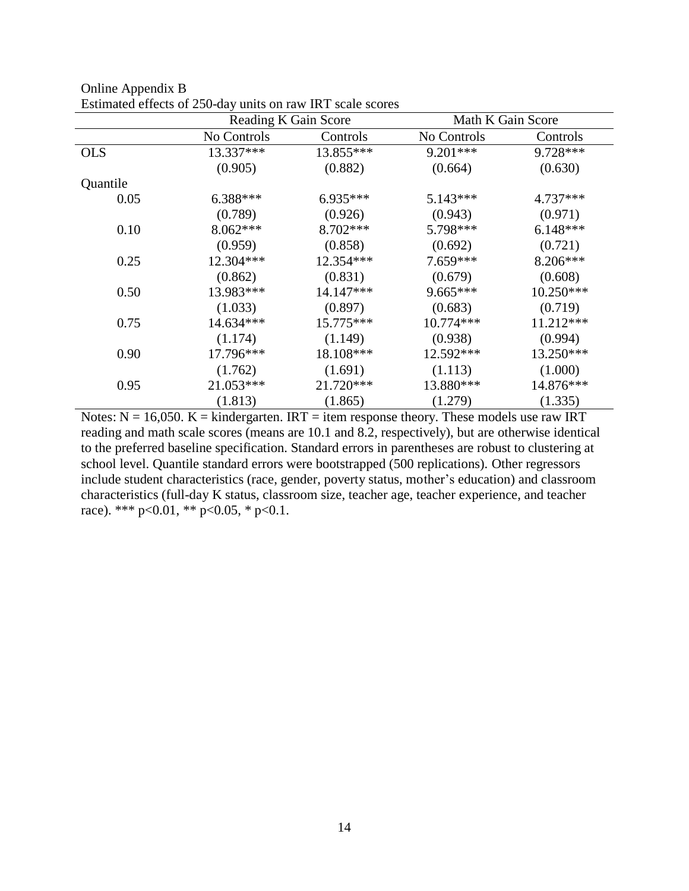|            | Reading K Gain Score | Math K Gain Score |             |             |
|------------|----------------------|-------------------|-------------|-------------|
|            | No Controls          | Controls          | No Controls | Controls    |
| <b>OLS</b> | 13.337***            | 13.855***         | $9.201***$  | 9.728***    |
|            | (0.905)              | (0.882)           | (0.664)     | (0.630)     |
| Quantile   |                      |                   |             |             |
| 0.05       | $6.388***$           | $6.935***$        | $5.143***$  | $4.737***$  |
|            | (0.789)              | (0.926)           | (0.943)     | (0.971)     |
| 0.10       | $8.062***$           | $8.702***$        | 5.798***    | $6.148***$  |
|            | (0.959)              | (0.858)           | (0.692)     | (0.721)     |
| 0.25       | 12.304***            | 12.354 ***        | $7.659***$  | 8.206***    |
|            | (0.862)              | (0.831)           | (0.679)     | (0.608)     |
| 0.50       | 13.983***            | 14.147***         | $9.665***$  | $10.250***$ |
|            | (1.033)              | (0.897)           | (0.683)     | (0.719)     |
| 0.75       | 14.634***            | 15.775***         | 10.774***   | 11.212***   |
|            | (1.174)              | (1.149)           | (0.938)     | (0.994)     |
| 0.90       | 17.796***            | 18.108***         | $12.592***$ | 13.250***   |
|            | (1.762)              | (1.691)           | (1.113)     | (1.000)     |
| 0.95       | 21.053***            | 21.720***         | 13.880***   | 14.876***   |
|            | (1.813)              | (1.865)           | (1.279)     | (1.335)     |

Online Appendix B Estimated effects of 250-day units on raw IRT scale scores

Notes:  $N = 16,050$ .  $K =$  kindergarten. IRT = item response theory. These models use raw IRT reading and math scale scores (means are 10.1 and 8.2, respectively), but are otherwise identical to the preferred baseline specification. Standard errors in parentheses are robust to clustering at school level. Quantile standard errors were bootstrapped (500 replications). Other regressors include student characteristics (race, gender, poverty status, mother's education) and classroom characteristics (full-day K status, classroom size, teacher age, teacher experience, and teacher race). \*\*\* p<0.01, \*\* p<0.05, \* p<0.1.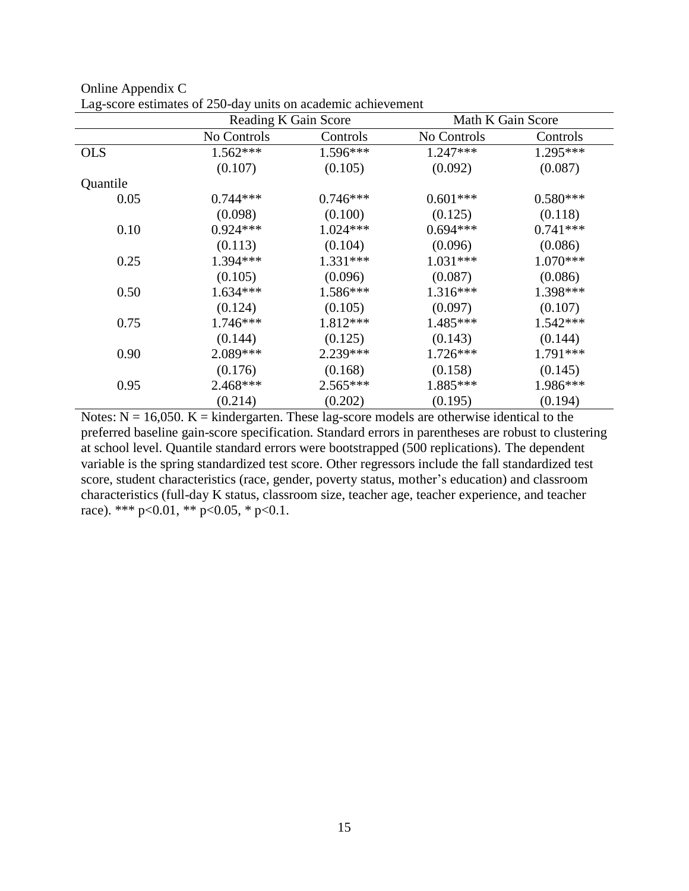|            | Reading K Gain Score |            | Math K Gain Score |            |
|------------|----------------------|------------|-------------------|------------|
|            | No Controls          | Controls   | No Controls       | Controls   |
| <b>OLS</b> | $1.562***$           | 1.596***   | $1.247***$        | 1.295***   |
|            | (0.107)              | (0.105)    | (0.092)           | (0.087)    |
| Quantile   |                      |            |                   |            |
| 0.05       | $0.744***$           | $0.746***$ | $0.601***$        | $0.580***$ |
|            | (0.098)              | (0.100)    | (0.125)           | (0.118)    |
| 0.10       | $0.924***$           | $1.024***$ | $0.694***$        | $0.741***$ |
|            | (0.113)              | (0.104)    | (0.096)           | (0.086)    |
| 0.25       | $1.394***$           | $1.331***$ | $1.031***$        | $1.070***$ |
|            | (0.105)              | (0.096)    | (0.087)           | (0.086)    |
| 0.50       | $1.634***$           | $1.586***$ | $1.316***$        | 1.398***   |
|            | (0.124)              | (0.105)    | (0.097)           | (0.107)    |
| 0.75       | $1.746***$           | $1.812***$ | $1.485***$        | $1.542***$ |
|            | (0.144)              | (0.125)    | (0.143)           | (0.144)    |
| 0.90       | $2.089***$           | $2.239***$ | $1.726***$        | 1.791***   |
|            | (0.176)              | (0.168)    | (0.158)           | (0.145)    |
| 0.95       | $2.468***$           | $2.565***$ | 1.885***          | 1.986***   |
|            | (0.214)              | (0.202)    | (0.195)           | (0.194)    |

| Online Appendix C |                                                              |
|-------------------|--------------------------------------------------------------|
|                   | Lag-score estimates of 250-day units on academic achievement |

Notes:  $N = 16,050$ .  $K =$  kindergarten. These lag-score models are otherwise identical to the preferred baseline gain-score specification. Standard errors in parentheses are robust to clustering at school level. Quantile standard errors were bootstrapped (500 replications). The dependent variable is the spring standardized test score. Other regressors include the fall standardized test score, student characteristics (race, gender, poverty status, mother's education) and classroom characteristics (full-day K status, classroom size, teacher age, teacher experience, and teacher race). \*\*\* p<0.01, \*\* p<0.05, \* p<0.1.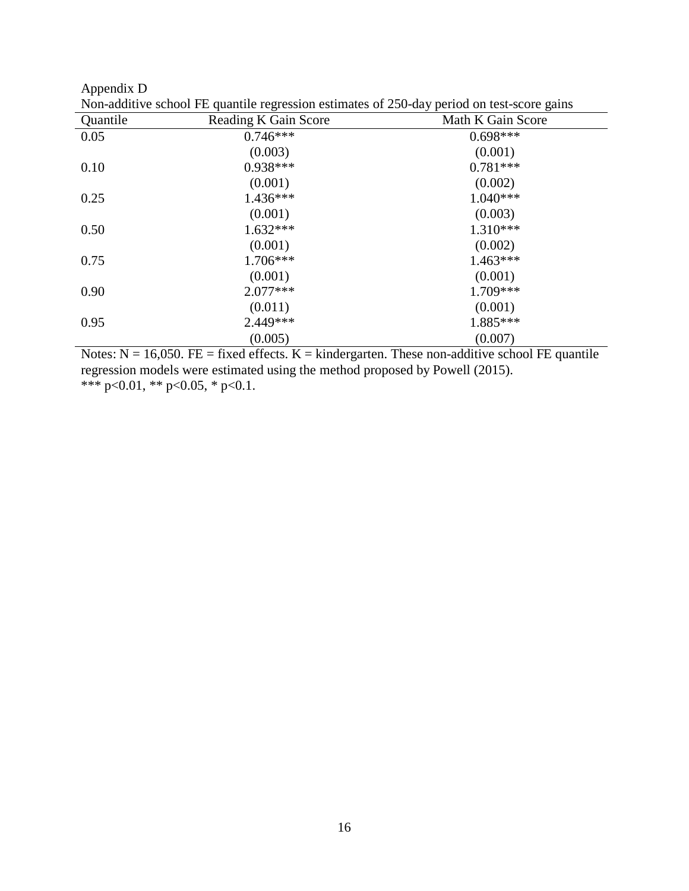Appendix D

| Quantile | Reading K Gain Score | Math K Gain Score |
|----------|----------------------|-------------------|
| 0.05     | $0.746***$           | $0.698***$        |
|          | (0.003)              | (0.001)           |
| 0.10     | $0.938***$           | $0.781***$        |
|          | (0.001)              | (0.002)           |
| 0.25     | $1.436***$           | $1.040***$        |
|          | (0.001)              | (0.003)           |
| 0.50     | $1.632***$           | $1.310***$        |
|          | (0.001)              | (0.002)           |
| 0.75     | $1.706***$           | $1.463***$        |
|          | (0.001)              | (0.001)           |
| 0.90     | $2.077***$           | 1.709***          |
|          | (0.011)              | (0.001)           |
| 0.95     | 2.449 ***            | 1.885***          |
|          | (0.005)              | (0.007)           |

Non-additive school FE quantile regression estimates of 250-day period on test-score gains

Notes:  $N = 16,050$ . FE = fixed effects.  $K =$  kindergarten. These non-additive school FE quantile regression models were estimated using the method proposed by Powell (2015). \*\*\* p<0.01, \*\* p<0.05, \* p<0.1.